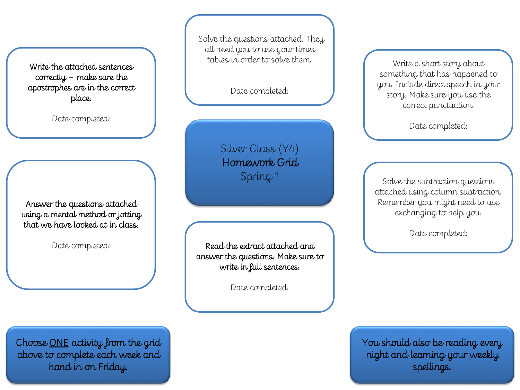Write the attached sentences correctly – make sure the apostrophes are in the correct place.

Date completed:

Answer the questions attached using a mental method or jotting that we have looked at in class.

Date completed:

Solve the questions attached. They all need you to use your times tables in order to solve them.

Date completed:

Silver Class (Y4) Homework Grid Spring 1

Read the extract attached and answer the questions. Make sure to write in full sentences.

Date completed:

Write a short story about something that has happened to you. Include direct speech in your story. Make sure you use the correct punctuation.

Date completed:

Solve the subtraction questions attached using column subtraction. Remember you might need to use exchanging to help you.

Date completed:

You should also be reading every night and learning your weekly spellings.

Choose ONE activity from the grid above to complete each week and hand in on Friday.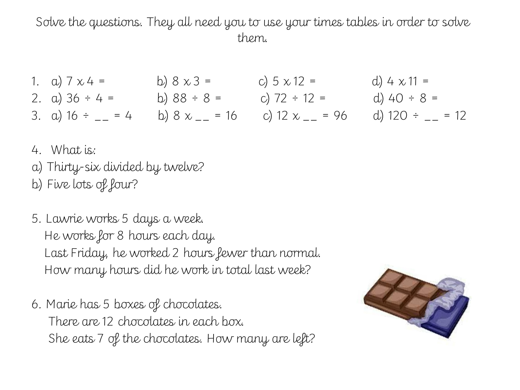Solve the questions. They all need you to use your times tables in order to solve them.

- 1. a)  $7 \times 4 =$  b)  $8 \times 3 =$  c)  $5 \times 12 =$  d)  $4 \times 11 =$ 2. a)  $36 \div 4 =$  b)  $88 \div 8 =$  c)  $72 \div 12 =$  d)  $40 \div 8 =$ 3. a)  $16 \div \underline{\hspace{1cm}} = 4$  b)  $8 \times \underline{\hspace{1cm}} = 16$  c)  $12 \times \underline{\hspace{1cm}} = 96$  d)  $120 \div \underline{\hspace{1cm}} = 12$
- 4. What is:
- a) Thirty-six divided by twelve? b) Five lots of four?
- 5. Lawrie works 5 days a week. He works for 8 hours each day. Last Friday, he worked 2 hours fewer than normal. How many hours did he work in total last week?
- 6. Marie has 5 boxes of chocolates. There are 12 chocolates in each box. She eats 7 of the chocolates. How many are left?

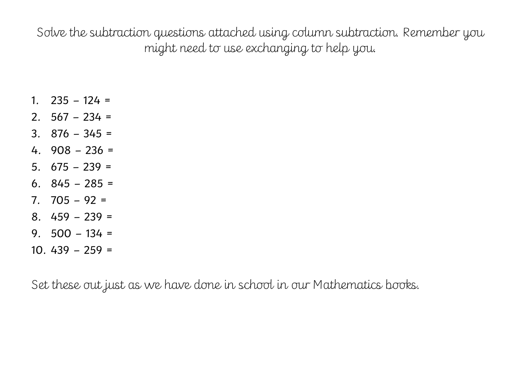Solve the subtraction questions attached using column subtraction. Remember you might need to use exchanging to help you.

- 1.  $235 124 =$
- 2.  $567 234 =$
- 3.  $876 345 =$
- 4. 908 236 =
- 5.  $675 239 =$
- 6. 845 285 =
- 7. 705 92 =
- $8. \, 459 239 =$
- 9.  $500 134 =$
- $10.439 259 =$

Set these out just as we have done in school in our Mathematics books.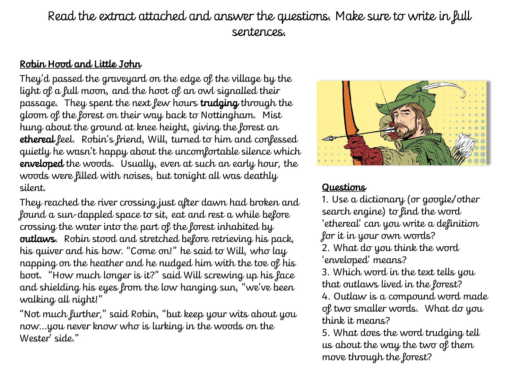## Read the extract attached and answer the questions. Make sure to write in full sentences.

## Robin Hood and Little John

They'd passed the graveyard on the edge of the village by the light of a full moon, and the hoot of an owl signalled their passage. They spent the next few hours trudging through the gloom of the forest on their way back to Nottingham. Mist hung about the ground at knee height, giving the forest an ethereal feel. Robin's friend, Will, turned to him and confessed quietly he wasn't happy about the uncomfortable silence which enveloped the woods. Usually, even at such an early hour, the woods were filled with noises, but tonight all was deathly silent.

They reached the river crossing just after dawn had broken and found a sun-dappled space to sit, eat and rest a while before crossing the water into the part of the forest inhabited by outlaws. Robin stood and stretched before retrieving his pack, his quiver and his bow. "Come on!" he said to Will, who lay napping on the heather and he nudged him with the toe of his boot. "How much longer is it?" said Will screwing up his face and shielding his eyes from the low hanging sun, "we've been walking all night!"

"Not much further," said Robin, "but keep your wits about you now…you never know who is lurking in the woods on the Wester' side."



## Questions

1. Use a dictionary (or google/other search engine) to find the word 'ethereal' can you write a definition for it in your own words?

2. What do you think the word 'enveloped' means?

3. Which word in the text tells you that outlaws lived in the forest?

4. Outlaw is a compound word made of two smaller words. What do you think it means?

5. What does the word trudging tell us about the way the two of them move through the forest?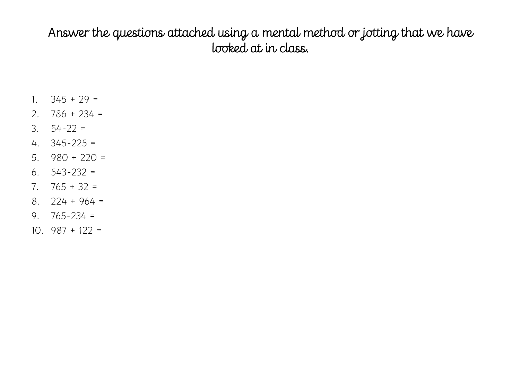## Answer the questions attached using a mental method or jotting that we have looked at in class.

- 1.  $345 + 29 =$
- 2.  $786 + 234 =$
- 3.  $54-22 =$
- 4. 345-225 =
- 5. 980 + 220 =
- 6. 543-232 =
- 7.  $765 + 32 =$
- 8. 224 + 964 =
- 9.  $765 234 =$
- 10.  $987 + 122 =$